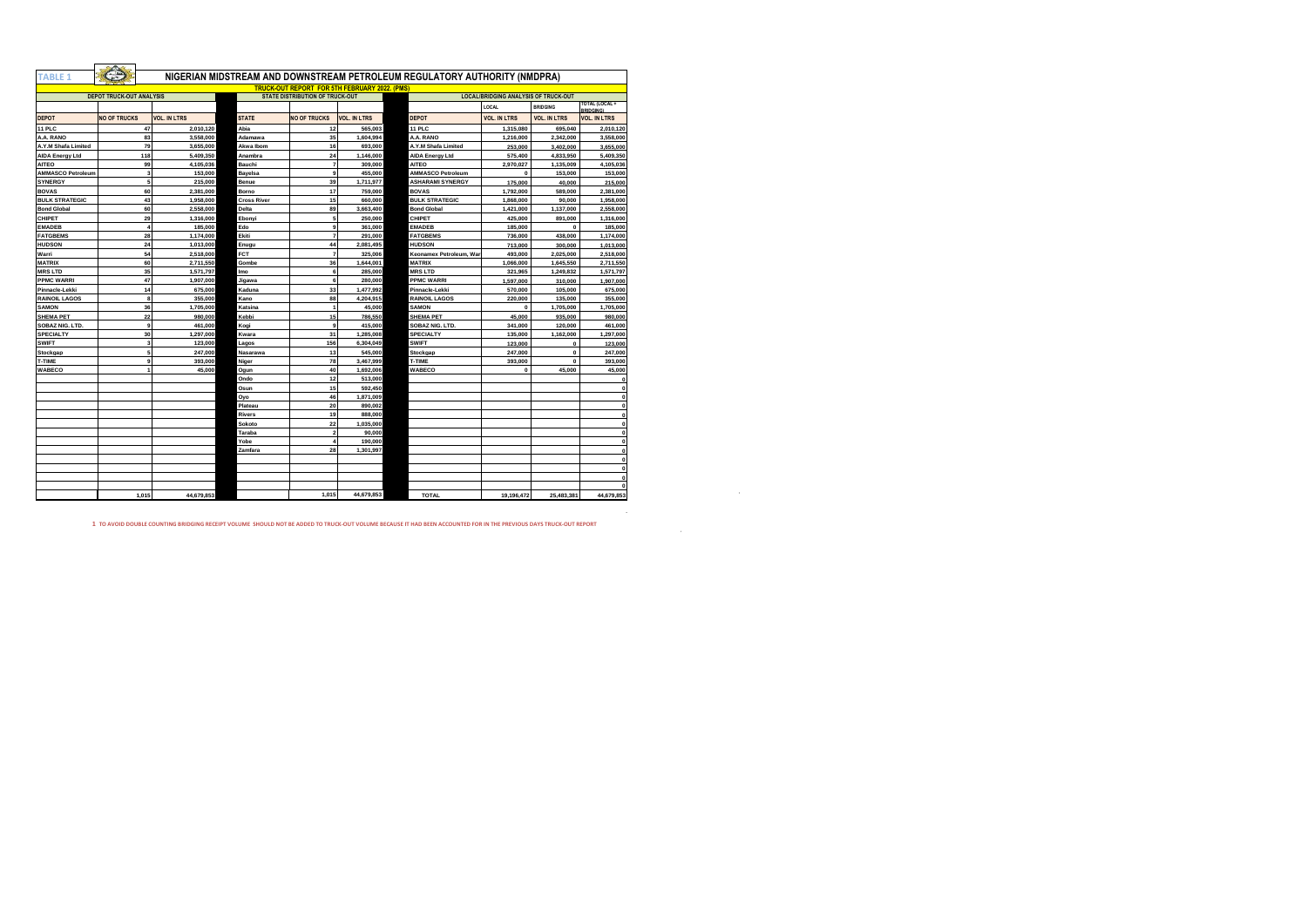| <b>TABLE 1</b>           |                                 |                     |                    |                                                      |                     | NIGERIAN MIDSTREAM AND DOWNSTREAM PETROLEUM REGULATORY AUTHORITY (NMDPRA) |                                             |                     |                     |
|--------------------------|---------------------------------|---------------------|--------------------|------------------------------------------------------|---------------------|---------------------------------------------------------------------------|---------------------------------------------|---------------------|---------------------|
|                          |                                 |                     |                    | <b>TRUCK-OUT REPORT FOR 5TH FEBRUARY 2022. (PMS)</b> |                     |                                                                           |                                             |                     |                     |
|                          | <b>DEPOT TRUCK-OUT ANALYSIS</b> |                     |                    | <b>STATE DISTRIBUTION OF TRUCK-OUT</b>               |                     |                                                                           | <b>LOCAL/BRIDGING ANALYSIS OF TRUCK-OUT</b> |                     | TOTAL (LOCAL +      |
|                          |                                 |                     |                    |                                                      |                     |                                                                           | LOCAL                                       | <b>BRIDGING</b>     | <b>BRIDGING</b>     |
| <b>DEPOT</b>             | <b>NO OF TRUCKS</b>             | <b>VOL. IN LTRS</b> | <b>STATE</b>       | <b>NO OF TRUCKS</b>                                  | <b>VOL. IN LTRS</b> | DEPOT                                                                     | <b>VOL. IN LTRS</b>                         | <b>VOL. IN LTRS</b> | <b>VOL. IN LTRS</b> |
| <b>11 PLC</b>            | 47                              | 2.010.120           | Abia               | 12                                                   | 565.003             | 11 PLC                                                                    | 1.315.080                                   | 695,040             | 2.010.120           |
| A.A. RANO                | 83                              | 3,558,000           | Adamawa            | 35                                                   | 1,604,994           | A.A. RANO                                                                 | 1,216,000                                   | 2.342.000           | 3,558,000           |
| A.Y.M Shafa Limited      | 79                              | 3,655,000           | Akwa Ibom          | 16                                                   | 693,000             | A.Y.M Shafa Limited                                                       | 253,000                                     | 3,402,000           | 3,655,000           |
| <b>AIDA Energy Ltd</b>   | 118                             | 5.409.350           | Anambra            | 24                                                   | 1.146.000           | <b>AIDA Energy Ltd</b>                                                    | 575,400                                     | 4.833.950           | 5.409.350           |
| <b>AITEO</b>             | 99                              | 4.105.036           | Bauchi             | $\overline{7}$                                       | 309,000             | <b>AITEO</b>                                                              | 2.970.027                                   | 1,135,009           | 4.105.036           |
| <b>AMMASCO Petroleum</b> | $\overline{\mathbf{3}}$         | 153,000             | Bayelsa            | $\mathbf{a}$                                         | 455,000             | <b>AMMASCO Petroleum</b>                                                  | $\mathbf 0$                                 | 153,000             | 153,000             |
| <b>SYNERGY</b>           | 5                               | 215,000             | Benue              | 39                                                   | 1,711,977           | <b>ASHARAMI SYNERGY</b>                                                   | 175,000                                     | 40.000              | 215,000             |
| <b>BOVAS</b>             | 60                              | 2.381.000           | Borno              | 17                                                   | 759,000             | <b>BOVAS</b>                                                              | 1.792.000                                   | 589,000             | 2.381.000           |
| <b>BULK STRATEGIC</b>    | 43                              | 1.958.000           | <b>Cross River</b> | 15                                                   | 660,000             | <b>BULK STRATEGIC</b>                                                     | 1.868.000                                   | 90,000              | 1.958.000           |
| <b>Bond Global</b>       | 60                              | 2,558,000           | <b>Delta</b>       | 89                                                   | 3,663,400           | <b>Bond Global</b>                                                        | 1.421.000                                   | 1,137,000           | 2,558,000           |
| CHIPET                   | 29                              | 1.316.000           | Ebonvi             | 5                                                    | 250,000             | CHIPET                                                                    | 425,000                                     | 891.000             | 1.316.000           |
| <b>EMADEB</b>            | $\overline{4}$                  | 185,000             | Edo                | 9                                                    | 361,000             | <b>EMADEB</b>                                                             | 185,000                                     | $\Omega$            | 185,000             |
| <b>FATGBEMS</b>          | 28                              | 1,174,000           | Ekiti              | $\overline{7}$                                       | 291,000             | <b>FATGBEMS</b>                                                           | 736,000                                     | 438,000             | 1.174.000           |
| <b>HUDSON</b>            | 24                              | 1.013.000           | Enugu              | 44                                                   | 2.081.495           | <b>HUDSON</b>                                                             | 713,000                                     | 300,000             | 1.013.000           |
| Warri                    | 54                              | 2,518,000           | FCT                | $\overline{7}$                                       | 325,006             | Keonamex Petroleum, War                                                   | 493,000                                     | 2.025.000           | 2,518,000           |
| <b>MATRIX</b>            | 60                              | 2.711.550           | Gombe              | 36                                                   | 1.644.001           | <b>MATRIX</b>                                                             | 1.066.000                                   | 1,645,550           | 2,711,550           |
| <b>MRS LTD</b>           | 35                              | 1,571,797           | Imo                | 6                                                    | 285,000             | <b>MRSLTD</b>                                                             | 321,965                                     | 1,249,832           | 1,571,797           |
| <b>PPMC WARRI</b>        | 47                              | 1,907,000           | Jigawa             | 6                                                    | 280,000             | <b>PPMC WARRI</b>                                                         | 1,597,000                                   | 310,000             | 1.907.000           |
| Pinnacle-Lekki           | 14                              | 675,000             | Kaduna             | 33                                                   | 1,477,992           | Pinnacle-Lekki                                                            | 570,000                                     | 105,000             | 675,000             |
| <b>RAINOIL LAGOS</b>     | 8                               | 355,000             | Kano               | 88                                                   | 4,204,915           | <b>RAINOIL LAGOS</b>                                                      | 220,000                                     | 135,000             | 355,000             |
| <b>SAMON</b>             | 36                              | 1.705.000           | Katsina            | $\overline{1}$                                       | 45,000              | <b>SAMON</b>                                                              | $\Omega$                                    | 1,705,000           | 1,705,000           |
| <b>SHEMA PET</b>         | 22                              | 980,000             | Kebbi              | 15                                                   | 786,550             | <b>SHEMA PET</b>                                                          | 45,000                                      | 935,000             | 980,000             |
| SOBAZ NIG. LTD.          | $\overline{9}$                  | 461,000             | Kogi               | 9                                                    | 415,000             | SOBAZ NIG, LTD.                                                           | 341,000                                     | 120,000             | 461.000             |
| <b>SPECIALTY</b>         | 30                              | 1.297.000           | Kwara              | 31                                                   | 1.285.008           | <b>SPECIALTY</b>                                                          | 135,000                                     | 1.162.000           | 1,297,000           |
| <b>SWIFT</b>             | $\overline{\mathbf{3}}$         | 123,000             | Lagos              | 156                                                  | 6.304.049           | <b>SWIFT</b>                                                              | 123,000                                     | $\mathbf{0}$        | 123,000             |
| Stockgap                 | 5                               | 247.000             | Nasarawa           | 13                                                   | 545,000             | Stockgap                                                                  | 247,000                                     | $\Omega$            | 247,000             |
| T-TIME                   | 9                               | 393,000             | Niger              | 78                                                   | 3.467.999           | T-TIME                                                                    | 393,000                                     | $\mathbf{0}$        | 393,000             |
| WABECO                   | $\overline{1}$                  | 45,000              | Ogun               | 40                                                   | 1.692.006           | <b>WABECO</b>                                                             | $\Omega$                                    | 45,000              | 45,000              |
|                          |                                 |                     | Ondo               | 12                                                   | 513,000             |                                                                           |                                             |                     |                     |
|                          |                                 |                     | Osun               | 15                                                   | 592.450             |                                                                           |                                             |                     |                     |
|                          |                                 |                     | Ovo                | 46                                                   | 1.871.009           |                                                                           |                                             |                     |                     |
|                          |                                 |                     | Plateau            | 20                                                   | 890.002             |                                                                           |                                             |                     | $\Omega$            |
|                          |                                 |                     | <b>Rivers</b>      | 19                                                   | 888,000             |                                                                           |                                             |                     |                     |
|                          |                                 |                     | Sokoto             | 22                                                   | 1.035.000           |                                                                           |                                             |                     |                     |
|                          |                                 |                     | Taraba             | $\overline{2}$                                       | 90,000              |                                                                           |                                             |                     |                     |
|                          |                                 |                     | Yobe               | $\overline{4}$                                       | 190,000             |                                                                           |                                             |                     | $\Omega$            |
|                          |                                 |                     | Zamfara            | 28                                                   | 1,301,997           |                                                                           |                                             |                     |                     |
|                          |                                 |                     |                    |                                                      |                     |                                                                           |                                             |                     | $\Omega$            |
|                          |                                 |                     |                    |                                                      |                     |                                                                           |                                             |                     |                     |
|                          |                                 |                     |                    |                                                      |                     |                                                                           |                                             |                     |                     |
|                          |                                 |                     |                    |                                                      |                     |                                                                           |                                             |                     | $\Omega$            |
|                          | 1.015                           | 44.679.853          |                    | 1.015                                                | 44,679,853          | <b>TOTAL</b>                                                              | 19,196,472                                  | 25.483.381          | 44,679,853          |
|                          |                                 |                     |                    |                                                      |                     |                                                                           |                                             |                     |                     |

**1 TO AVOID DOUBLE COUNTING BRIDGING RECEIPT VOLUME SHOULD NOT BE ADDED TO TRUCK-OUT VOLUME BECAUSE IT HAD BEEN ACCOUNTED FOR IN THE PREVIOUS DAYS TRUCK-OUT REPORT**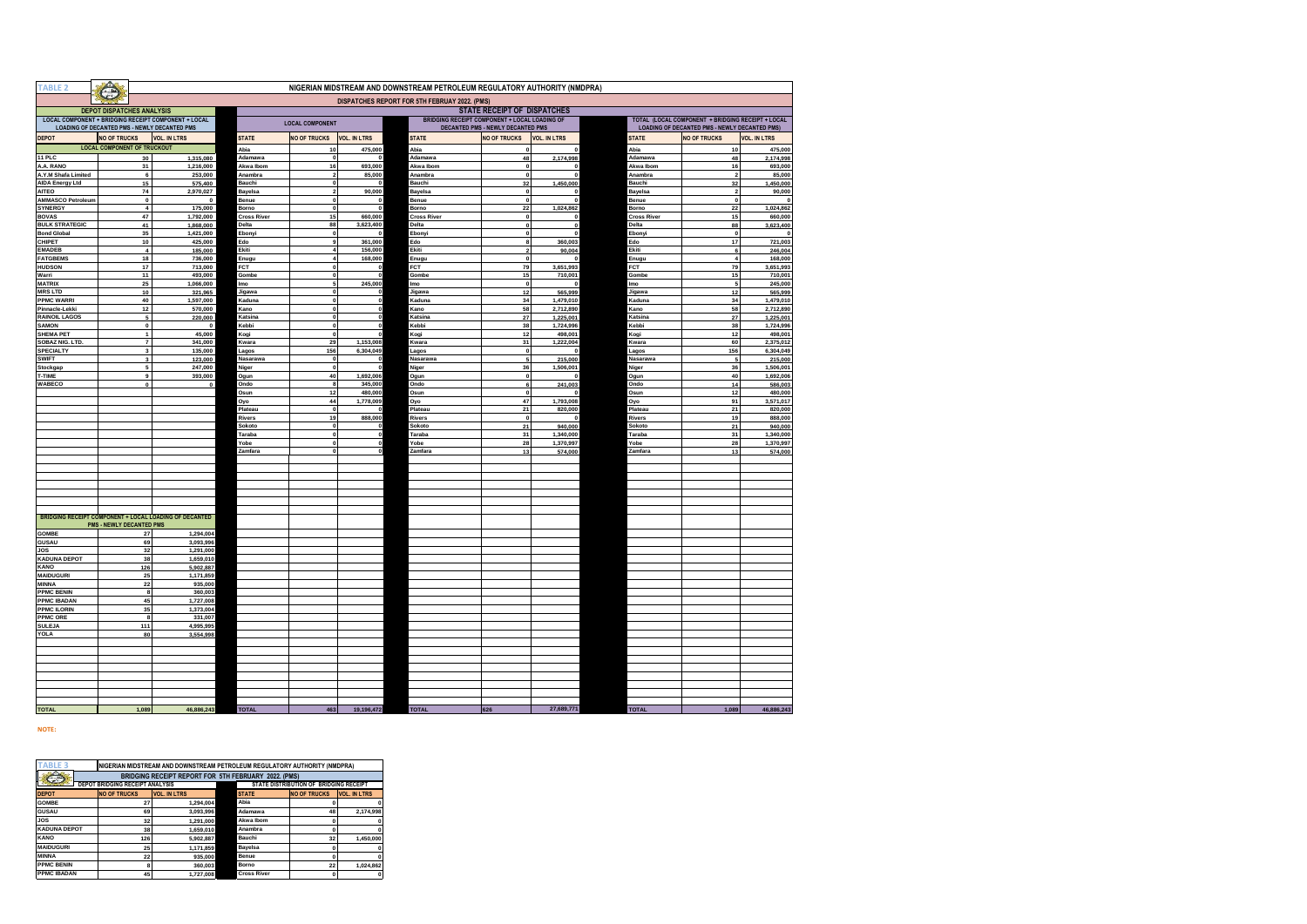| <b>TABLE 2</b>                                         | NIGERIAN MIDSTREAM AND DOWNSTREAM PETROLEUM REGULATORY AUTHORITY (NMDPRA) |                                               |                        |                   |                                                                                                                     |                         |                       |                             |                                    |                                                                                                           |                      |                      |
|--------------------------------------------------------|---------------------------------------------------------------------------|-----------------------------------------------|------------------------|-------------------|---------------------------------------------------------------------------------------------------------------------|-------------------------|-----------------------|-----------------------------|------------------------------------|-----------------------------------------------------------------------------------------------------------|----------------------|----------------------|
|                                                        |                                                                           | DISPATCHES REPORT FOR 5TH FEBRUAY 2022. (PMS) |                        |                   |                                                                                                                     |                         |                       |                             |                                    |                                                                                                           |                      |                      |
|                                                        | <b>DEPOT DISPATCHES ANALYSIS</b>                                          |                                               |                        |                   |                                                                                                                     |                         |                       | STATE RECEIPT OF DISPATCHES |                                    |                                                                                                           |                      |                      |
| LOCAL COMPONENT + BRIDGING RECEIPT COMPONENT + LOCAL   | LOADING OF DECANTED PMS - NEWLY DECANTED PMS                              |                                               |                        |                   | <b>BRIDGING RECEIPT COMPONENT + LOCAL LOADING OF</b><br><b>LOCAL COMPONENT</b><br>DECANTED PMS - NEWLY DECANTED PMS |                         |                       |                             |                                    | TOTAL (LOCAL COMPONENT + BRIDGING RECEIPT + LOCAL<br><b>LOADING OF DECANTED PMS - NEWLY DECANTED PMS)</b> |                      |                      |
| <b>DEPOT</b>                                           | <b>NO OF TRUCKS</b>                                                       |                                               | <b>VOL. IN LTRS</b>    | <b>STATE</b>      | <b>NO OF TRUCKS</b>                                                                                                 | <b>VOL. IN LTRS</b>     | <b>STATE</b>          | <b>NO OF TRUCKS</b>         | <b>VOL. IN LTRS</b>                | <b>STATE</b>                                                                                              | <b>NO OF TRUCKS</b>  | <b>VOL. IN LTRS</b>  |
|                                                        | <b>LOCAL COMPONENT OF TRUCKOUT</b>                                        |                                               |                        | Abia              | 10                                                                                                                  | 475,000                 | Abia                  | $\mathbf 0$                 | $\mathbf 0$                        | Abia                                                                                                      | 10                   | 475,000              |
| 11 PLC                                                 |                                                                           | 30                                            | 1,315,080              | Adamawa           | $\mathbf 0$                                                                                                         | $\mathbf{0}$            | Adamawa               | 48                          | 2,174,998                          | Adamawa                                                                                                   | 48                   | 2,174,998            |
| A.A. RANO                                              |                                                                           | 31                                            | 1,216,000              | Akwa Ibom         | 16<br>$\overline{\mathbf{2}}$                                                                                       | 693,000                 | Akwa Ibom             | $\mathbf{0}$                | $\mathbf 0$<br>$\Omega$            | Akwa Ibom                                                                                                 | 16<br>$\overline{2}$ | 693,000              |
| A.Y.M Shafa Limited<br><b>AIDA Energy Ltd</b>          |                                                                           | 6<br>15                                       | 253,000<br>575,400     | Anambra<br>Bauchi | $\mathbf 0$                                                                                                         | 85,000<br>$^{\circ}$    | Anambra<br>Bauchi     | $\mathbf{o}$<br>32          | 1,450,000                          | Anambra<br>Bauchi                                                                                         | 32                   | 85,000<br>1,450,000  |
| <b>AITEO</b>                                           |                                                                           | 74                                            | 2,970,027              | Bayelsa           | $\overline{2}$                                                                                                      | 90,000                  | Bayelsa               | $\mathbf{0}$                | $\Omega$                           | Bayelsa                                                                                                   | $\mathbf 2$          | 90,000               |
| <b>AMMASCO Petroleum</b>                               |                                                                           | $\pmb{0}$                                     | $\pmb{0}$              | Benue             | $\mathbf 0$                                                                                                         | $\mathbf 0$             | Benue                 | $\mathbf{0}$                | $\pmb{\mathsf{o}}$                 | Benue                                                                                                     | $\pmb{\mathsf{o}}$   |                      |
| SYNERGY                                                |                                                                           | $\overline{\mathbf{4}}$                       | 175,000                | Borno             | $\mathbf 0$                                                                                                         | $\pmb{0}$               | Borno                 | 22                          | 1,024,862                          | Borno                                                                                                     | 22                   | 1,024,862            |
| <b>BOVAS</b>                                           |                                                                           | 47                                            | 1,792,000              | Cross River       | 15                                                                                                                  | 660,000                 | Cross River           | $\bf{0}$                    | $\mathbf{0}$                       | Cross River                                                                                               | 15                   | 660,000              |
| <b>BULK STRATEGIC</b><br><b>Bond Global</b>            |                                                                           | 41<br>35                                      | 1,868,000<br>1,421,000 | Delta<br>Ebony    | 88<br>$\mathbf 0$                                                                                                   | 3,623,400<br>$\Omega$   | <b>Delta</b><br>Ebony | $\bullet$<br>$\bullet$      | $\pmb{\mathsf{o}}$<br>$\mathbf{0}$ | Delta<br>Ebonyi                                                                                           | 88<br>$\pmb{0}$      | 3,623,400            |
| CHIPET                                                 |                                                                           | 10                                            | 425,000                | Edo               | 9                                                                                                                   | 361,000                 | Edo                   | 8                           | 360,003                            | Edo                                                                                                       | 17                   | 721,003              |
| <b>EMADEB</b>                                          |                                                                           | $\overline{\mathbf{4}}$                       | 185,000                | Ekiti             | $\overline{4}$                                                                                                      | 156,000                 | Ekiti                 | $\overline{2}$              | 90,004                             | Ekiti                                                                                                     | 6                    | 246,004              |
| <b>FATGBEMS</b>                                        |                                                                           | 18                                            | 736,000                | Enugu             | $\overline{4}$                                                                                                      | 168,000                 | Enugu                 | $\mathbf{0}$                | $\mathbf{0}$                       | Enugu                                                                                                     | $\boldsymbol{4}$     | 168,000              |
| <b>HUDSON</b>                                          |                                                                           | 17                                            | 713,000                | FCT               | $\mathbf 0$                                                                                                         | $\mathbf 0$             | FCT                   | 79                          | 3,651,993                          | FCT                                                                                                       | 79                   | 3,651,993            |
| Warri                                                  |                                                                           | 11<br>25                                      | 493,000                | Gombe             | $\mathbf{0}$<br>5                                                                                                   | $\mathbf{0}$<br>245,000 | Gombe                 | 15<br>$\mathbf{o}$          | 710,001<br>$\Omega$                | Gombe                                                                                                     | 15<br>5              | 710,001              |
| <b>MATRIX</b><br><b>MRS LTD</b>                        |                                                                           | 10                                            | 1,066,000<br>321,965   | mo<br>Jigawa      | $\mathbf{0}$                                                                                                        | $\Omega$                | lmo<br>Jigawa         | $12$                        | 565,999                            | lmo<br>Jigawa                                                                                             | $12$                 | 245,000<br>565,999   |
| <b>PPMC WARRI</b>                                      |                                                                           | 40                                            | 1,597,000              | <b>Kaduna</b>     | $\mathbf{0}$                                                                                                        | $\Omega$                | Kaduna                | 34                          | 1,479,010                          | Kaduna                                                                                                    | 34                   | 1,479,010            |
| Pinnacle-Lekki                                         |                                                                           | 12                                            | 570,000                | Kano              | $\mathbf 0$                                                                                                         | $\mathbf{0}$            | Kano                  | 58                          | 2,712,890                          | Kano                                                                                                      | 58                   | 2,712,890            |
| RAINOIL LAGOS                                          |                                                                           | $\overline{\mathbf{5}}$                       | 220,000                | Katsina           | $\mathbf{0}$                                                                                                        | $\Omega$                | Katsina               | 27                          | 1,225,001                          | Katsina                                                                                                   | 27                   | 1,225,001            |
| <b>SAMON</b><br><b>SHEMA PET</b>                       |                                                                           | $\pmb{0}$                                     | $\pmb{0}$              | (ebbi             | $\mathbf 0$                                                                                                         | $\mathbf{0}$            | <b>Cebbi</b>          | 38                          | 1,724,996                          | Kebbi                                                                                                     | 38                   | 1,724,996            |
| SOBAZ NIG. LTD.                                        |                                                                           | $\overline{1}$<br>$\scriptstyle\rm{7}$        | 45,000<br>341,000      | Kogi<br>Kwara     | $\mathbf{0}$<br>29                                                                                                  | $\Omega$<br>1,153,008   | (ogi<br>Kwara         | $12$<br>31                  | 498,001<br>1,222,004               | Kogi<br>Kwara                                                                                             | 12<br>60             | 498,001<br>2,375,012 |
| <b>SPECIALTY</b>                                       |                                                                           | 3                                             | 135,000                | Lagos             | 156                                                                                                                 | 6,304,049               | agos                  | $\Omega$                    | $\mathbf{0}$                       | Lagos                                                                                                     | 156                  | 6,304,049            |
| <b>SWIFT</b>                                           |                                                                           | 3                                             | 123,000                | Nasarawa          | $\mathbf{0}$                                                                                                        |                         | Nasarawa              | 5                           | 215,000                            | Nasarawa                                                                                                  | 5                    | 215,000              |
| Stockgap                                               |                                                                           | 5                                             | 247,000                | Niger             | $\Omega$                                                                                                            |                         | Niaer                 | 36                          | 1,506,001                          | Niger                                                                                                     | 36                   | 1,506,001            |
| -TIME                                                  |                                                                           | 9                                             | 393,000                | Ogun              | 40                                                                                                                  | 1,692,006               | Ogun                  | $\mathbf{0}$                | $\mathbf 0$                        | Ogun                                                                                                      | 40                   | 1,692,006            |
| WABECO                                                 |                                                                           | $\mathbf{0}$                                  | $\pmb{0}$              | Ondo              | 8<br>12                                                                                                             | 345,000<br>480,000      | Ondo<br>Osun          | 6<br>$\mathbf 0$            | 241,003<br>$\mathbf 0$             | Ondo<br>Osun                                                                                              | 14<br>12             | 586,003<br>480,000   |
|                                                        |                                                                           |                                               |                        | Osun<br>Ovo       | 44                                                                                                                  | 1,778,009               | Oyo                   | 47                          | 1,793,008                          | Oyo                                                                                                       | 91                   | 3.571.017            |
|                                                        |                                                                           |                                               |                        | Plateau           | $\mathbf 0$                                                                                                         |                         | lateau                | 21                          | 820,000                            | Plateau                                                                                                   | 21                   | 820,000              |
|                                                        |                                                                           |                                               |                        | Rivers            | 19                                                                                                                  | 888,000                 | <b>Rivers</b>         | $\mathbf 0$                 | $\Omega$                           | Rivers                                                                                                    | 19                   | 888,000              |
|                                                        |                                                                           |                                               |                        | Sokoto            | $\mathbf 0$                                                                                                         |                         | Sokoto                | 21                          | 940,000                            | Sokoto                                                                                                    | ${\bf 21}$           | 940,000              |
|                                                        |                                                                           |                                               |                        | Taraba            | $\mathbf 0$                                                                                                         | $\Omega$                | araba                 | 31                          | 1,340,000                          | Taraba                                                                                                    | 31                   | 1,340,000            |
|                                                        |                                                                           |                                               |                        | obe)<br>Zamfara   | $\mathbf 0$<br>$\Omega$                                                                                             |                         | obe)<br>Zamfara       | 28<br>13                    | 1,370,997<br>574,000               | Yobe<br>Zamfara                                                                                           | 28<br>13             | 1,370,997<br>574,000 |
|                                                        |                                                                           |                                               |                        |                   |                                                                                                                     |                         |                       |                             |                                    |                                                                                                           |                      |                      |
|                                                        |                                                                           |                                               |                        |                   |                                                                                                                     |                         |                       |                             |                                    |                                                                                                           |                      |                      |
|                                                        |                                                                           |                                               |                        |                   |                                                                                                                     |                         |                       |                             |                                    |                                                                                                           |                      |                      |
|                                                        |                                                                           |                                               |                        |                   |                                                                                                                     |                         |                       |                             |                                    |                                                                                                           |                      |                      |
|                                                        |                                                                           |                                               |                        |                   |                                                                                                                     |                         |                       |                             |                                    |                                                                                                           |                      |                      |
|                                                        |                                                                           |                                               |                        |                   |                                                                                                                     |                         |                       |                             |                                    |                                                                                                           |                      |                      |
| BRIDGING RECEIPT COMPONENT + LOCAL LOADING OF DECANTED |                                                                           |                                               |                        |                   |                                                                                                                     |                         |                       |                             |                                    |                                                                                                           |                      |                      |
| <b>GOMBE</b>                                           | <b>PMS - NEWLY DECANTED PMS</b>                                           | 27                                            | 1,294,004              |                   |                                                                                                                     |                         |                       |                             |                                    |                                                                                                           |                      |                      |
| GUSAU                                                  |                                                                           | 69                                            | 3,093,996              |                   |                                                                                                                     |                         |                       |                             |                                    |                                                                                                           |                      |                      |
| JOS                                                    |                                                                           | 32                                            | 1,291,000              |                   |                                                                                                                     |                         |                       |                             |                                    |                                                                                                           |                      |                      |
| <b>KADUNA DEPOT</b>                                    |                                                                           | 38                                            | 1,659,010              |                   |                                                                                                                     |                         |                       |                             |                                    |                                                                                                           |                      |                      |
| KANO                                                   |                                                                           | 126                                           | 5,902,887              |                   |                                                                                                                     |                         |                       |                             |                                    |                                                                                                           |                      |                      |
| <b>MAIDUGURI</b><br><b>MINNA</b>                       |                                                                           | 25<br>22                                      | 1,171,859<br>935,000   |                   |                                                                                                                     |                         |                       |                             |                                    |                                                                                                           |                      |                      |
| <b>PPMC BENIN</b>                                      |                                                                           | $\bf{8}$                                      | 360,003                |                   |                                                                                                                     |                         |                       |                             |                                    |                                                                                                           |                      |                      |
| <b>PPMC IBADAN</b>                                     |                                                                           | 45                                            | 1,727,008              |                   |                                                                                                                     |                         |                       |                             |                                    |                                                                                                           |                      |                      |
| <b>PPMC ILORIN</b>                                     |                                                                           | 35                                            | 1,373,004              |                   |                                                                                                                     |                         |                       |                             |                                    |                                                                                                           |                      |                      |
| <b>PPMC ORE</b>                                        |                                                                           | $\bf{8}$                                      | 331,007                |                   |                                                                                                                     |                         |                       |                             |                                    |                                                                                                           |                      |                      |
| <b>SULEJA</b>                                          |                                                                           | 111                                           | 4,995,995              |                   |                                                                                                                     |                         |                       |                             |                                    |                                                                                                           |                      |                      |
| YOLA                                                   |                                                                           | 80                                            | 3,554,998              |                   |                                                                                                                     |                         |                       |                             |                                    |                                                                                                           |                      |                      |
|                                                        |                                                                           |                                               |                        |                   |                                                                                                                     |                         |                       |                             |                                    |                                                                                                           |                      |                      |
|                                                        |                                                                           |                                               |                        |                   |                                                                                                                     |                         |                       |                             |                                    |                                                                                                           |                      |                      |
|                                                        |                                                                           |                                               |                        |                   |                                                                                                                     |                         |                       |                             |                                    |                                                                                                           |                      |                      |
|                                                        |                                                                           |                                               |                        |                   |                                                                                                                     |                         |                       |                             |                                    |                                                                                                           |                      |                      |
|                                                        |                                                                           |                                               |                        |                   |                                                                                                                     |                         |                       |                             |                                    |                                                                                                           |                      |                      |
|                                                        |                                                                           |                                               |                        |                   |                                                                                                                     |                         |                       |                             |                                    |                                                                                                           |                      |                      |
| <b>TOTAL</b>                                           |                                                                           | 1,089                                         | 46,886,243             | <b>TOTAL</b>      | 463                                                                                                                 | 19,196,472              | <b>TOTAL</b>          | 626                         | 27,689,771                         | <b>TOTAL</b>                                                                                              | 1.089                | 46.886.243           |

**NOTE:** 

| ABLE <sub>3</sub><br>INIGERIAN MIDSTREAM AND DOWNSTREAM PETROLEUM REGULATORY AUTHORITY (NMDPRA) |                                        |                     |  |                                        |                     |                     |  |  |  |  |
|-------------------------------------------------------------------------------------------------|----------------------------------------|---------------------|--|----------------------------------------|---------------------|---------------------|--|--|--|--|
| $\hat{\circ}$<br>BRIDGING RECEIPT REPORT FOR 5TH FEBRUARY 2022. (PMS)                           |                                        |                     |  |                                        |                     |                     |  |  |  |  |
|                                                                                                 | <b>DEPOT BRIDGING RECEIPT ANALYSIS</b> |                     |  | STATE DISTRIBUTION OF BRIDGING RECEIPT |                     |                     |  |  |  |  |
| <b>DEPOT</b>                                                                                    | <b>NO OF TRUCKS</b>                    | <b>VOL. IN LTRS</b> |  | <b>STATE</b>                           | <b>NO OF TRUCKS</b> | <b>VOL. IN LTRS</b> |  |  |  |  |
| <b>GOMBE</b>                                                                                    | 27                                     | 1.294.004           |  | Abia                                   |                     | o                   |  |  |  |  |
| <b>GUSAU</b>                                                                                    | 69                                     | 3.093.996           |  | Adamawa                                | 48                  | 2.174.998           |  |  |  |  |
| <b>JOS</b>                                                                                      | 32                                     | 1.291.000           |  | Akwa Ibom                              |                     | O                   |  |  |  |  |
| <b>KADUNA DEPOT</b>                                                                             | 38                                     | 1.659.010           |  | Anambra                                |                     | O                   |  |  |  |  |
| <b>KANO</b>                                                                                     | 126                                    | 5.902.887           |  | Bauchi                                 | 32                  | 1.450.000           |  |  |  |  |
| <b>MAIDUGURI</b>                                                                                | 25                                     | 1.171.859           |  | Bayelsa                                |                     | o                   |  |  |  |  |
| <b>MINNA</b>                                                                                    | 22                                     | 935,000             |  | Benue                                  |                     | O                   |  |  |  |  |
| <b>PPMC BENIN</b>                                                                               | 8                                      | 360,003             |  | Borno                                  | 22                  | 1.024.862           |  |  |  |  |
| <b>PPMC IBADAN</b>                                                                              | 45                                     | 1.727.008           |  | <b>Cross River</b>                     |                     | O                   |  |  |  |  |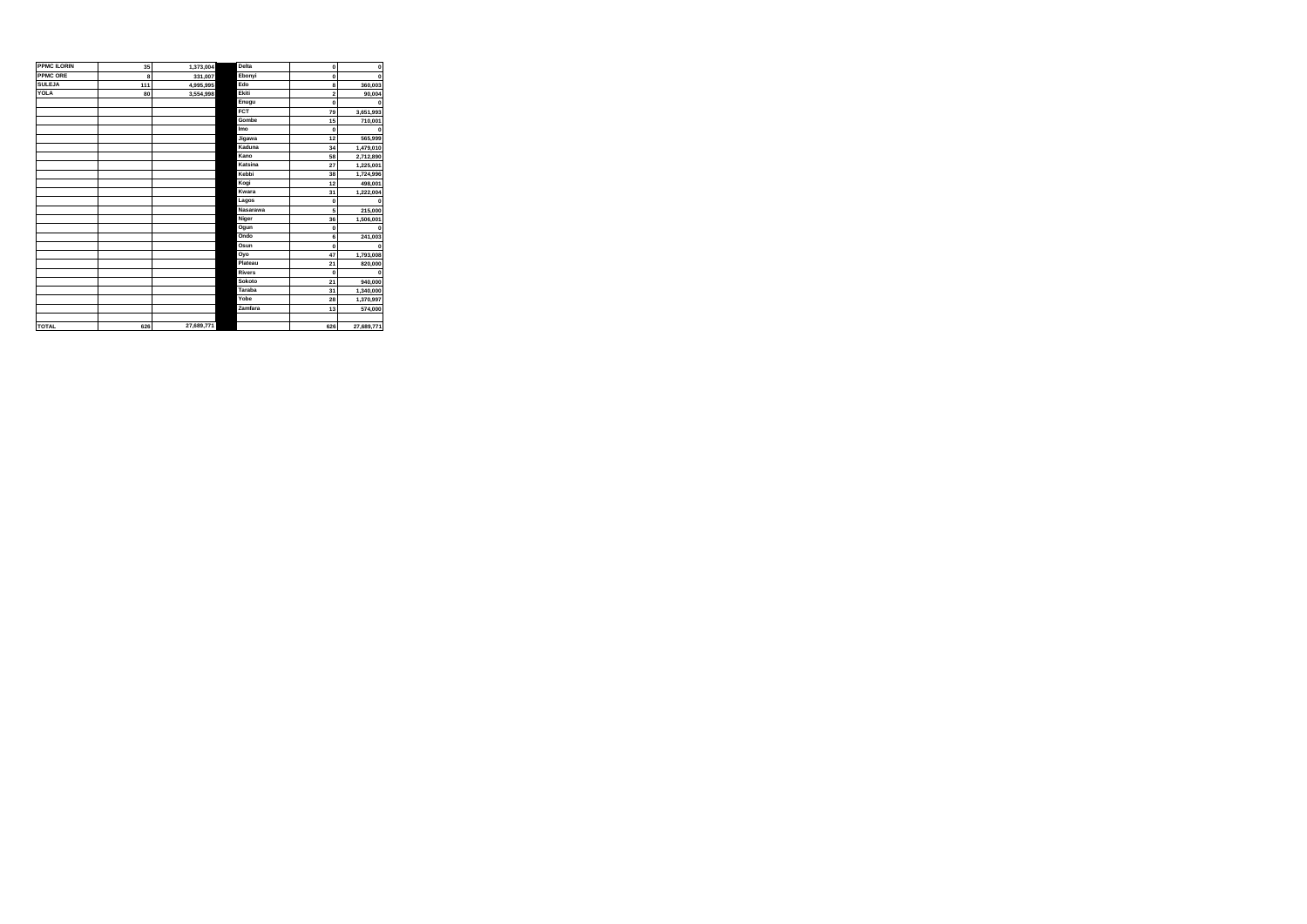| <b>PPMC ILORIN</b> | 35  | 1,373,004  | Delta         | $\bf{0}$       | $\mathbf 0$ |
|--------------------|-----|------------|---------------|----------------|-------------|
| <b>PPMC ORE</b>    | 8   | 331,007    | Ebonyi        | $\mathbf 0$    | $\Omega$    |
| <b>SULEJA</b>      | 111 | 4,995,995  | Edo           | 8              | 360,003     |
| YOLA               | 80  | 3,554,998  | Ekiti         | $\overline{2}$ | 90.004      |
|                    |     |            | Enugu         | $\mathbf 0$    |             |
|                    |     |            | FCT           | 79             | 3,651,993   |
|                    |     |            | Gombe         | 15             | 710,001     |
|                    |     |            | Imo           | $\mathbf 0$    |             |
|                    |     |            | Jigawa        | 12             | 565,999     |
|                    |     |            | Kaduna        | 34             | 1,479,010   |
|                    |     |            | Kano          | 58             | 2,712,890   |
|                    |     |            | Katsina       | 27             | 1,225,001   |
|                    |     |            | Kebbi         | 38             | 1,724,996   |
|                    |     |            | Kogi          | 12             | 498,001     |
|                    |     |            | Kwara         | 31             | 1,222,004   |
|                    |     |            | Lagos         | $\mathbf 0$    |             |
|                    |     |            | Nasarawa      | 5              | 215,000     |
|                    |     |            | Niger         | 36             | 1,506,001   |
|                    |     |            | Ogun          | $\mathbf 0$    | $\Omega$    |
|                    |     |            | Ondo          | 6              | 241,003     |
|                    |     |            | Osun          | $\Omega$       | $\Omega$    |
|                    |     |            | Oyo           | 47             | 1,793,008   |
|                    |     |            | Plateau       | 21             | 820,000     |
|                    |     |            | <b>Rivers</b> | $\mathbf 0$    | $\Omega$    |
|                    |     |            | Sokoto        | 21             | 940,000     |
|                    |     |            | Taraba        | 31             | 1,340,000   |
|                    |     |            | Yobe          | 28             | 1,370,997   |
|                    |     |            | Zamfara       | 13             | 574,000     |
|                    |     |            |               |                |             |
| <b>TOTAL</b>       | 626 | 27.689.771 |               | 626            | 27.689.771  |